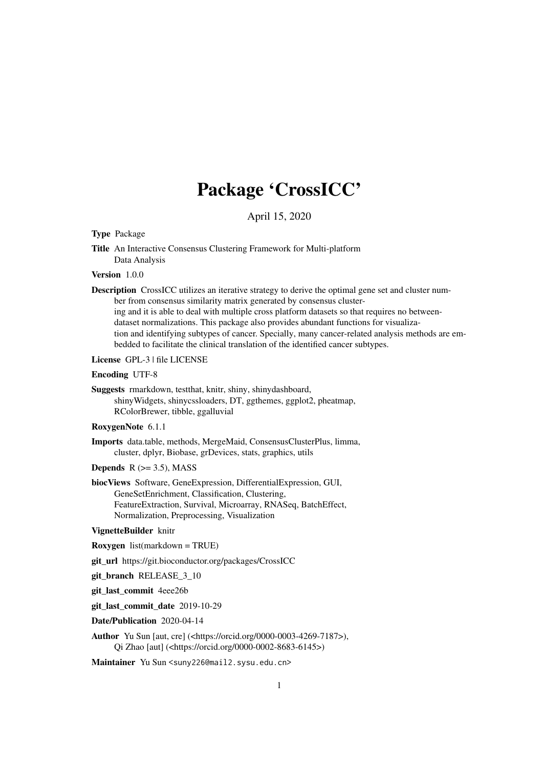## Package 'CrossICC'

April 15, 2020

#### <span id="page-0-0"></span>Type Package

Title An Interactive Consensus Clustering Framework for Multi-platform Data Analysis

#### Version 1.0.0

Description CrossICC utilizes an iterative strategy to derive the optimal gene set and cluster number from consensus similarity matrix generated by consensus clustering and it is able to deal with multiple cross platform datasets so that requires no betweendataset normalizations. This package also provides abundant functions for visualization and identifying subtypes of cancer. Specially, many cancer-related analysis methods are embedded to facilitate the clinical translation of the identified cancer subtypes.

#### License GPL-3 | file LICENSE

#### Encoding UTF-8

Suggests rmarkdown, testthat, knitr, shiny, shinydashboard, shinyWidgets, shinycssloaders, DT, ggthemes, ggplot2, pheatmap, RColorBrewer, tibble, ggalluvial

#### RoxygenNote 6.1.1

- Imports data.table, methods, MergeMaid, ConsensusClusterPlus, limma, cluster, dplyr, Biobase, grDevices, stats, graphics, utils
- **Depends**  $R$  ( $>= 3.5$ ), MASS
- biocViews Software, GeneExpression, DifferentialExpression, GUI, GeneSetEnrichment, Classification, Clustering, FeatureExtraction, Survival, Microarray, RNASeq, BatchEffect, Normalization, Preprocessing, Visualization

#### VignetteBuilder knitr

- Roxygen list(markdown = TRUE)
- git\_url https://git.bioconductor.org/packages/CrossICC
- git branch RELEASE 3 10
- git last commit 4eee26b
- git last commit date 2019-10-29
- Date/Publication 2020-04-14
- Author Yu Sun [aut, cre] (<https://orcid.org/0000-0003-4269-7187>), Qi Zhao [aut] (<https://orcid.org/0000-0002-8683-6145>)
- Maintainer Yu Sun <suny226@mail2.sysu.edu.cn>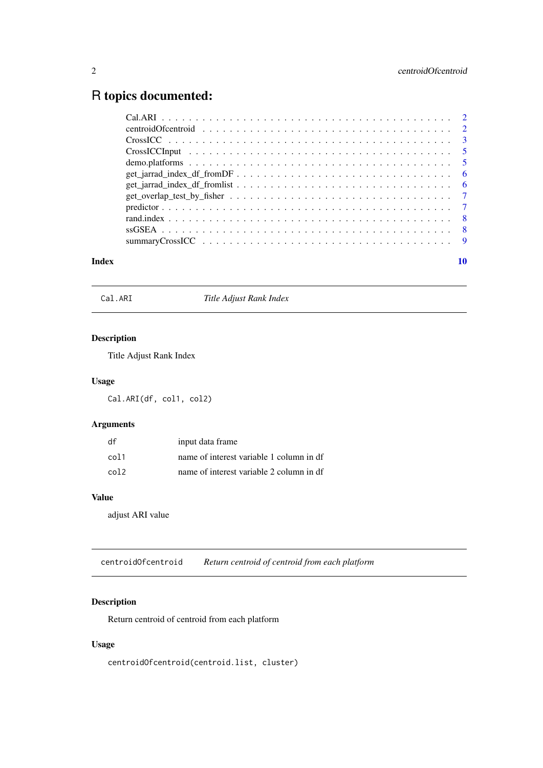### <span id="page-1-0"></span>R topics documented:

| $CrossICC \dots \dots \dots \dots \dots \dots \dots \dots \dots \dots \dots \dots \dots \dots \dots \dots$ |  |
|------------------------------------------------------------------------------------------------------------|--|
|                                                                                                            |  |
|                                                                                                            |  |
| $get\_jarrad\_index\_df\_fromDF \dots \dots \dots \dots \dots \dots \dots \dots \dots \dots \dots \dots$ 6 |  |
|                                                                                                            |  |
|                                                                                                            |  |
|                                                                                                            |  |
|                                                                                                            |  |
|                                                                                                            |  |
|                                                                                                            |  |
|                                                                                                            |  |

#### $\blacksquare$

Cal.ARI *Title Adjust Rank Index*

#### Description

Title Adjust Rank Index

#### Usage

Cal.ARI(df, col1, col2)

#### Arguments

| df   | input data frame                         |
|------|------------------------------------------|
| col1 | name of interest variable 1 column in df |
| co12 | name of interest variable 2 column in df |

#### Value

adjust ARI value

centroidOfcentroid *Return centroid of centroid from each platform*

#### Description

Return centroid of centroid from each platform

#### Usage

centroidOfcentroid(centroid.list, cluster)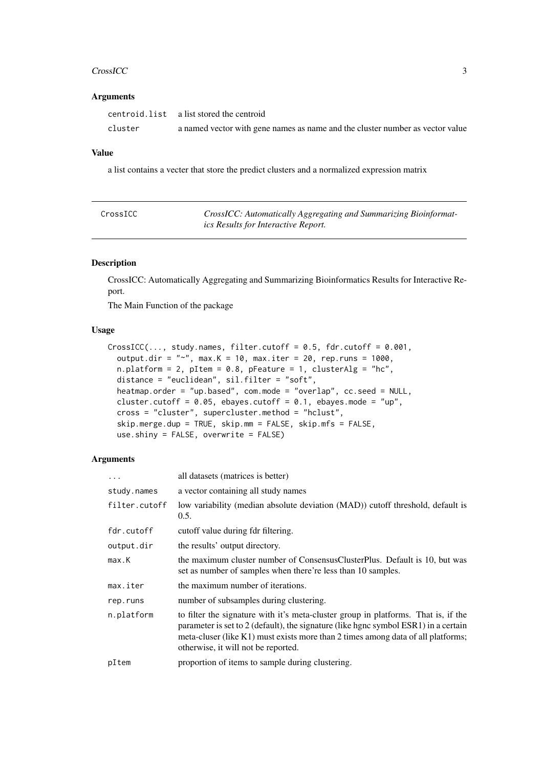#### <span id="page-2-0"></span>CrossICC 3

#### Arguments

|         | centroid. list a list stored the centroid                                     |
|---------|-------------------------------------------------------------------------------|
| cluster | a named vector with gene names as name and the cluster number as vector value |

#### Value

a list contains a vecter that store the predict clusters and a normalized expression matrix

| CrossICC | CrossICC: Automatically Aggregating and Summarizing Bioinformat- |
|----------|------------------------------------------------------------------|
|          | ics Results for Interactive Report.                              |

#### Description

CrossICC: Automatically Aggregating and Summarizing Bioinformatics Results for Interactive Report.

The Main Function of the package

#### Usage

```
CrossICC(..., study.name, filter.cutoff = 0.5, fdr.cutoff = 0.001,output.dir = "~", max.K = 10, max.iter = 20, rep.runs = 1000,
 n.platform = 2, pItem = 0.8, pFeature = 1, clusterAlg = "hc",
 distance = "euclidean", sil.filter = "soft",
 heatmap.order = "up.based", com.mode = "overlap", cc.seed = NULL,
 cluster.cutoff = 0.05, ebayes.cutoff = 0.1, ebayes.mode = "up",
 cross = "cluster", supercluster.method = "hclust",
 skip.merge.dup = TRUE, skip.mm = FALSE, skip.mfs = FALSE,
 use.shiny = FALSE, overwrite = FALSE)
```
#### Arguments

| .             | all datasets (matrices is better)                                                                                                                                                                                                                                                                    |
|---------------|------------------------------------------------------------------------------------------------------------------------------------------------------------------------------------------------------------------------------------------------------------------------------------------------------|
| study.names   | a vector containing all study names                                                                                                                                                                                                                                                                  |
| filter.cutoff | low variability (median absolute deviation (MAD)) cutoff threshold, default is<br>0.5.                                                                                                                                                                                                               |
| fdr.cutoff    | cutoff value during fdr filtering.                                                                                                                                                                                                                                                                   |
| output.dir    | the results' output directory.                                                                                                                                                                                                                                                                       |
| max.K         | the maximum cluster number of ConsensusClusterPlus. Default is 10, but was<br>set as number of samples when there're less than 10 samples.                                                                                                                                                           |
| max.iter      | the maximum number of iterations.                                                                                                                                                                                                                                                                    |
| rep.runs      | number of subsamples during clustering.                                                                                                                                                                                                                                                              |
| n.platform    | to filter the signature with it's meta-cluster group in platforms. That is, if the<br>parameter is set to 2 (default), the signature (like hgnc symbol ESR1) in a certain<br>meta-cluser (like K1) must exists more than 2 times among data of all platforms;<br>otherwise, it will not be reported. |
| pItem         | proportion of items to sample during clustering.                                                                                                                                                                                                                                                     |
|               |                                                                                                                                                                                                                                                                                                      |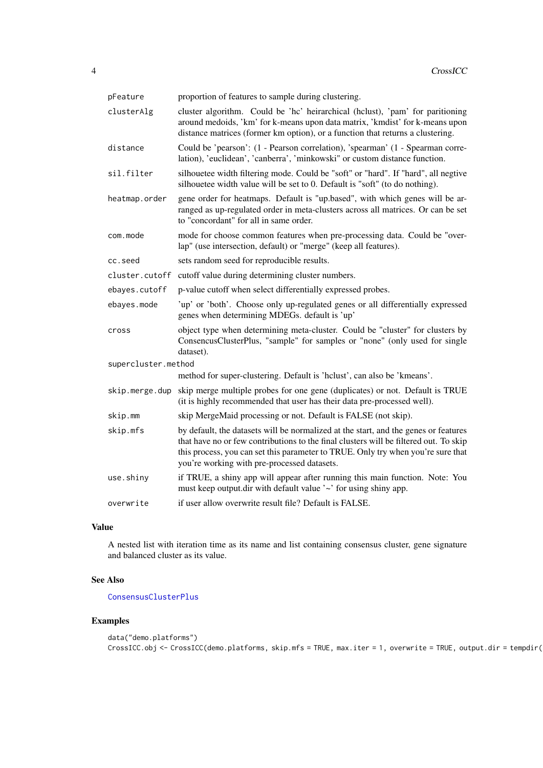<span id="page-3-0"></span>

| pFeature            | proportion of features to sample during clustering.                                                                                                                                                                                                                                                             |
|---------------------|-----------------------------------------------------------------------------------------------------------------------------------------------------------------------------------------------------------------------------------------------------------------------------------------------------------------|
| clusterAlg          | cluster algorithm. Could be 'hc' heirarchical (hclust), 'pam' for paritioning<br>around medoids, 'km' for k-means upon data matrix, 'kmdist' for k-means upon<br>distance matrices (former km option), or a function that returns a clustering.                                                                 |
| distance            | Could be 'pearson': (1 - Pearson correlation), 'spearman' (1 - Spearman corre-<br>lation), 'euclidean', 'canberra', 'minkowski" or custom distance function.                                                                                                                                                    |
| sil.filter          | silhouetee width filtering mode. Could be "soft" or "hard". If "hard", all negtive<br>silhouetee width value will be set to 0. Default is "soft" (to do nothing).                                                                                                                                               |
| heatmap.order       | gene order for heatmaps. Default is "up.based", with which genes will be ar-<br>ranged as up-regulated order in meta-clusters across all matrices. Or can be set<br>to "concordant" for all in same order.                                                                                                      |
| com.mode            | mode for choose common features when pre-processing data. Could be "over-<br>lap" (use intersection, default) or "merge" (keep all features).                                                                                                                                                                   |
| cc.seed             | sets random seed for reproducible results.                                                                                                                                                                                                                                                                      |
| cluster.cutoff      | cutoff value during determining cluster numbers.                                                                                                                                                                                                                                                                |
| ebayes.cutoff       | p-value cutoff when select differentially expressed probes.                                                                                                                                                                                                                                                     |
| ebayes.mode         | 'up' or 'both'. Choose only up-regulated genes or all differentially expressed<br>genes when determining MDEGs. default is 'up'                                                                                                                                                                                 |
| cross               | object type when determining meta-cluster. Could be "cluster" for clusters by<br>ConsencusClusterPlus, "sample" for samples or "none" (only used for single<br>dataset).                                                                                                                                        |
| supercluster.method |                                                                                                                                                                                                                                                                                                                 |
|                     | method for super-clustering. Default is 'hclust', can also be 'kmeans'.                                                                                                                                                                                                                                         |
|                     | skip.merge.dup skip merge multiple probes for one gene (duplicates) or not. Default is TRUE<br>(it is highly recommended that user has their data pre-processed well).                                                                                                                                          |
| skip.mm             | skip MergeMaid processing or not. Default is FALSE (not skip).                                                                                                                                                                                                                                                  |
| skip.mfs            | by default, the datasets will be normalized at the start, and the genes or features<br>that have no or few contributions to the final clusters will be filtered out. To skip<br>this process, you can set this parameter to TRUE. Only try when you're sure that<br>you're working with pre-processed datasets. |
| use.shiny           | if TRUE, a shiny app will appear after running this main function. Note: You<br>must keep output.dir with default value '~' for using shiny app.                                                                                                                                                                |
| overwrite           | if user allow overwrite result file? Default is FALSE.                                                                                                                                                                                                                                                          |

#### Value

A nested list with iteration time as its name and list containing consensus cluster, gene signature and balanced cluster as its value.

#### See Also

#### [ConsensusClusterPlus](#page-0-0)

```
data("demo.platforms")
CrossICC.obj <- CrossICC(demo.platforms, skip.mfs = TRUE, max.iter = 1, overwrite = TRUE, output.dir = tempdir())
```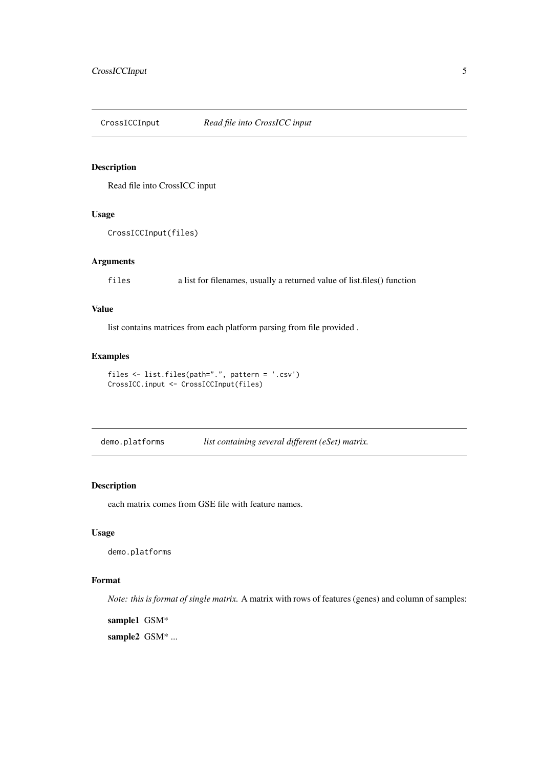<span id="page-4-0"></span>CrossICCInput *Read file into CrossICC input*

#### Description

Read file into CrossICC input

#### Usage

```
CrossICCInput(files)
```
#### Arguments

files a list for filenames, usually a returned value of list.files() function

#### Value

list contains matrices from each platform parsing from file provided .

#### Examples

```
files <- list.files(path=".", pattern = '.csv')
CrossICC.input <- CrossICCInput(files)
```
demo.platforms *list containing several different (eSet) matrix.*

#### Description

each matrix comes from GSE file with feature names.

#### Usage

demo.platforms

#### Format

*Note: this is format of single matrix.* A matrix with rows of features (genes) and column of samples:

sample1 GSM\*

sample2 GSM<sup>\*</sup> ...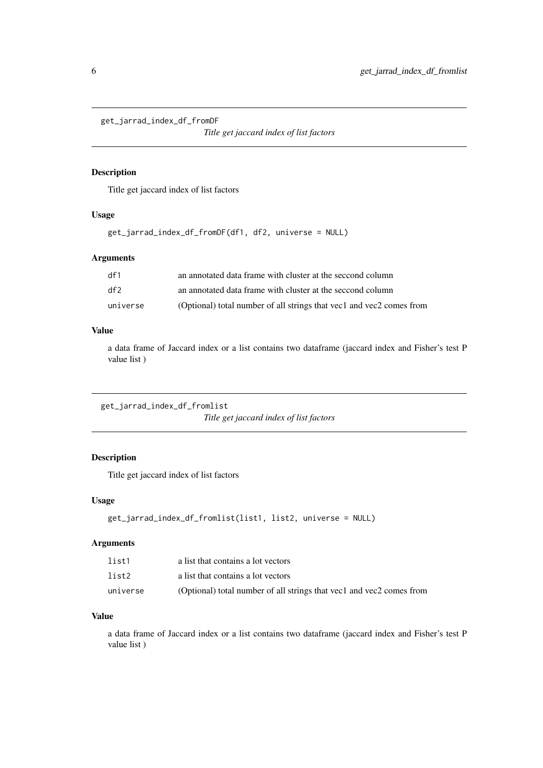<span id="page-5-0"></span>get\_jarrad\_index\_df\_fromDF

*Title get jaccard index of list factors*

#### Description

Title get jaccard index of list factors

#### Usage

```
get_jarrad_index_df_fromDF(df1, df2, universe = NULL)
```
#### Arguments

| df1      | an annotated data frame with cluster at the seccond column           |
|----------|----------------------------------------------------------------------|
| df2      | an annotated data frame with cluster at the seccond column           |
| universe | (Optional) total number of all strings that yec1 and yec2 comes from |

#### Value

a data frame of Jaccard index or a list contains two dataframe (jaccard index and Fisher's test P value list )

get\_jarrad\_index\_df\_fromlist *Title get jaccard index of list factors*

#### Description

Title get jaccard index of list factors

#### Usage

```
get_jarrad_index_df_fromlist(list1, list2, universe = NULL)
```
#### Arguments

| list1    | a list that contains a lot vectors                                     |
|----------|------------------------------------------------------------------------|
| list2    | a list that contains a lot vectors                                     |
| universe | (Optional) total number of all strings that yee 1 and yee 2 comes from |

#### Value

a data frame of Jaccard index or a list contains two dataframe (jaccard index and Fisher's test P value list )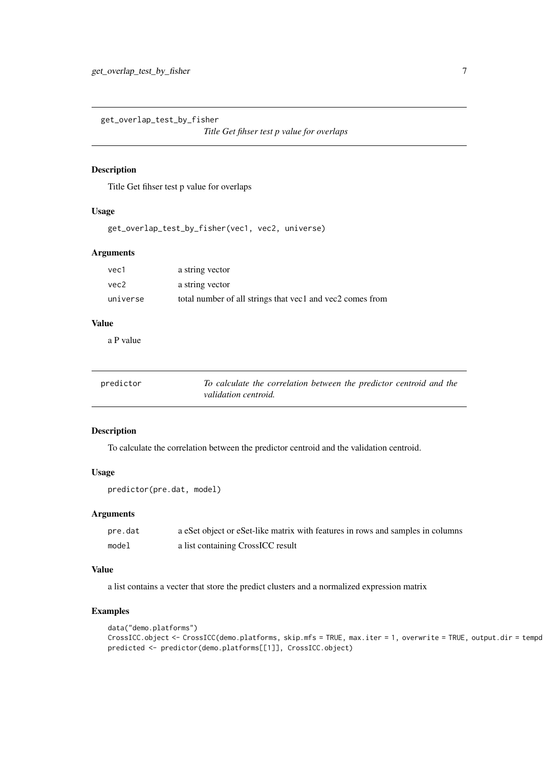<span id="page-6-0"></span>get\_overlap\_test\_by\_fisher

*Title Get fihser test p value for overlaps*

#### Description

Title Get fihser test p value for overlaps

#### Usage

get\_overlap\_test\_by\_fisher(vec1, vec2, universe)

#### Arguments

| vec1     | a string vector                                           |
|----------|-----------------------------------------------------------|
| vec2     | a string vector                                           |
| universe | total number of all strings that yec1 and yec2 comes from |

#### Value

a P value

| predictor | To calculate the correlation between the predictor centroid and the |
|-----------|---------------------------------------------------------------------|
|           | validation centroid.                                                |

#### Description

To calculate the correlation between the predictor centroid and the validation centroid.

#### Usage

```
predictor(pre.dat, model)
```
#### Arguments

| pre.dat | a eSet object or eSet-like matrix with features in rows and samples in columns |
|---------|--------------------------------------------------------------------------------|
| model   | a list containing CrossICC result                                              |

#### Value

a list contains a vecter that store the predict clusters and a normalized expression matrix

```
data("demo.platforms")
CrossICC.object <- CrossICC(demo.platforms, skip.mfs = TRUE, max.iter = 1, overwrite = TRUE, output.dir = tempd
predicted <- predictor(demo.platforms[[1]], CrossICC.object)
```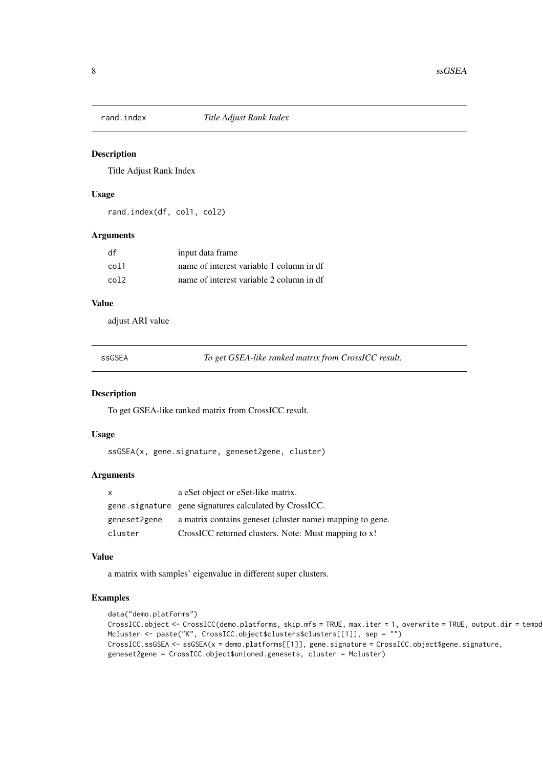<span id="page-7-0"></span>

#### Description

Title Adjust Rank Index

#### Usage

rand.index(df, col1, col2)

#### Arguments

| df   | input data frame                         |
|------|------------------------------------------|
| col1 | name of interest variable 1 column in df |
| co12 | name of interest variable 2 column in df |

#### Value

adjust ARI value

ssGSEA *To get GSEA-like ranked matrix from CrossICC result.*

#### Description

To get GSEA-like ranked matrix from CrossICC result.

#### Usage

ssGSEA(x, gene.signature, geneset2gene, cluster)

#### Arguments

| $\mathsf{x}$ | a eSet object or eSet-like matrix.                        |
|--------------|-----------------------------------------------------------|
|              | gene. signature gene signatures calculated by CrossICC.   |
| geneset2gene | a matrix contains geneset (cluster name) mapping to gene. |
| cluster      | CrossICC returned clusters. Note: Must mapping to x!      |

#### Value

a matrix with samples' eigenvalue in different super clusters.

```
data("demo.platforms")
CrossICC.object <- CrossICC(demo.platforms, skip.mfs = TRUE, max.iter = 1, overwrite = TRUE, output.dir = tempd
Mcluster <- paste("K", CrossICC.object$clusters$clusters[[1]], sep = "")
CrossICC.ssGSEA <- ssGSEA(x = demo.platforms[[1]], gene.signature = CrossICC.object$gene.signature,
geneset2gene = CrossICC.object$unioned.genesets, cluster = Mcluster)
```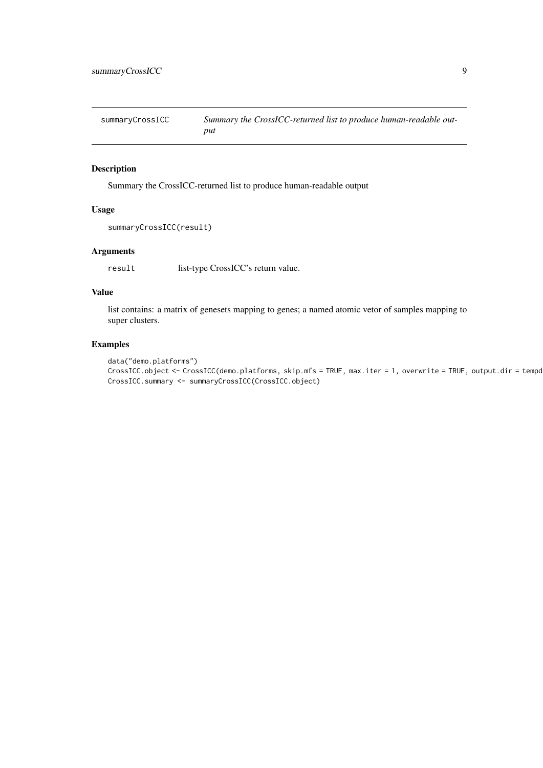<span id="page-8-0"></span>

| summaryCrossICC | Summary the CrossICC-returned list to produce human-readable out- |
|-----------------|-------------------------------------------------------------------|
|                 | put                                                               |

#### Description

Summary the CrossICC-returned list to produce human-readable output

#### Usage

```
summaryCrossICC(result)
```
#### Arguments

result list-type CrossICC's return value.

#### Value

list contains: a matrix of genesets mapping to genes; a named atomic vetor of samples mapping to super clusters.

```
data("demo.platforms")
CrossICC.object <- CrossICC(demo.platforms, skip.mfs = TRUE, max.iter = 1, overwrite = TRUE, output.dir = tempd
CrossICC.summary <- summaryCrossICC(CrossICC.object)
```